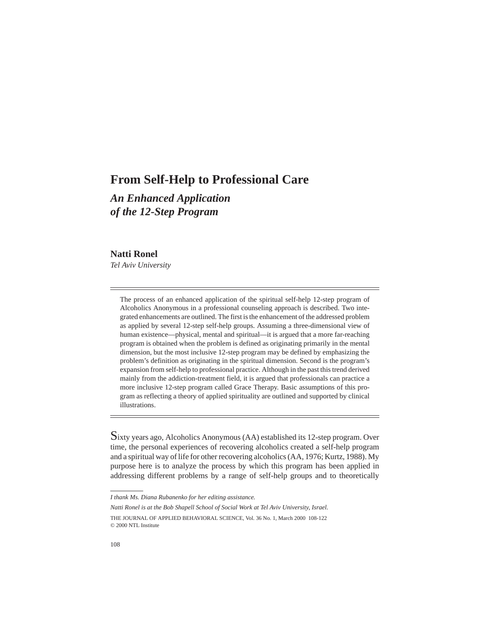# **From Self-Help to Professional Care**

*An Enhanced Application of the 12-Step Program*

# **Natti Ronel**

*Tel Aviv University*

The process of an enhanced application of the spiritual self-help 12-step program of Alcoholics Anonymous in a professional counseling approach is described. Two integrated enhancements are outlined. The first is the enhancement of the addressed problem as applied by several 12-step self-help groups. Assuming a three-dimensional view of human existence—physical, mental and spiritual—it is argued that a more far-reaching program is obtained when the problem is defined as originating primarily in the mental dimension, but the most inclusive 12-step program may be defined by emphasizing the problem's definition as originating in the spiritual dimension. Second is the program's expansion from self-help to professional practice. Although in the past this trend derived mainly from the addiction-treatment field, it is argued that professionals can practice a more inclusive 12-step program called Grace Therapy. Basic assumptions of this program as reflecting a theory of applied spirituality are outlined and supported by clinical illustrations.

Sixty years ago, Alcoholics Anonymous (AA) established its 12-step program. Over time, the personal experiences of recovering alcoholics created a self-help program and a spiritual way of life for other recovering alcoholics (AA, 1976; Kurtz, 1988). My purpose here is to analyze the process by which this program has been applied in addressing different problems by a range of self-help groups and to theoretically

*I thank Ms. Diana Rubanenko for her editing assistance.*

*Natti Ronel is at the Bob Shapell School of Social Work at Tel Aviv University, Israel.* THE JOURNAL OF APPLIED BEHAVIORAL SCIENCE, Vol. 36 No. 1, March 2000 108-122 © 2000 NTL Institute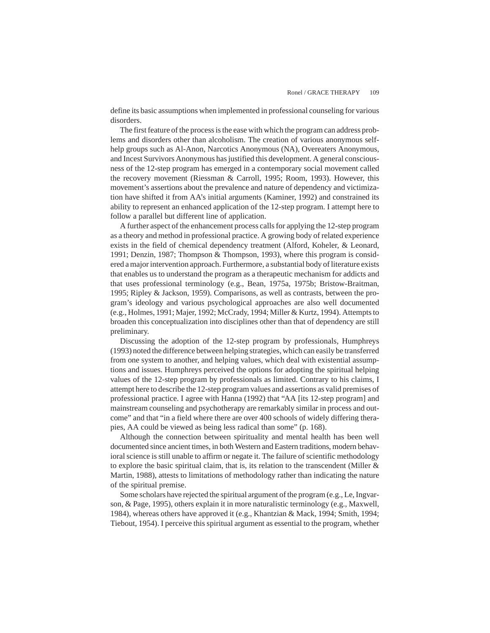define its basic assumptions when implemented in professional counseling for various disorders.

The first feature of the process is the ease with which the program can address problems and disorders other than alcoholism. The creation of various anonymous selfhelp groups such as Al-Anon, Narcotics Anonymous (NA), Overeaters Anonymous, and Incest Survivors Anonymous has justified this development. A general consciousness of the 12-step program has emerged in a contemporary social movement called the recovery movement (Riessman & Carroll, 1995; Room, 1993). However, this movement's assertions about the prevalence and nature of dependency and victimization have shifted it from AA's initial arguments (Kaminer, 1992) and constrained its ability to represent an enhanced application of the 12-step program. I attempt here to follow a parallel but different line of application.

A further aspect of the enhancement process calls for applying the 12-step program as a theory and method in professional practice. A growing body of related experience exists in the field of chemical dependency treatment (Alford, Koheler, & Leonard, 1991; Denzin, 1987; Thompson & Thompson, 1993), where this program is considered a major intervention approach. Furthermore, a substantial body of literature exists that enables us to understand the program as a therapeutic mechanism for addicts and that uses professional terminology (e.g., Bean, 1975a, 1975b; Bristow-Braitman, 1995; Ripley & Jackson, 1959). Comparisons, as well as contrasts, between the program's ideology and various psychological approaches are also well documented (e.g., Holmes, 1991; Majer, 1992; McCrady, 1994; Miller & Kurtz, 1994). Attempts to broaden this conceptualization into disciplines other than that of dependency are still preliminary.

Discussing the adoption of the 12-step program by professionals, Humphreys (1993) noted the difference between helping strategies, which can easily be transferred from one system to another, and helping values, which deal with existential assumptions and issues. Humphreys perceived the options for adopting the spiritual helping values of the 12-step program by professionals as limited. Contrary to his claims, I attempt here to describe the 12-step program values and assertions as valid premises of professional practice. I agree with Hanna (1992) that "AA [its 12-step program] and mainstream counseling and psychotherapy are remarkably similar in process and outcome" and that "in a field where there are over 400 schools of widely differing therapies, AA could be viewed as being less radical than some" (p. 168).

Although the connection between spirituality and mental health has been well documented since ancient times, in both Western and Eastern traditions, modern behavioral science is still unable to affirm or negate it. The failure of scientific methodology to explore the basic spiritual claim, that is, its relation to the transcendent (Miller & Martin, 1988), attests to limitations of methodology rather than indicating the nature of the spiritual premise.

Some scholars have rejected the spiritual argument of the program (e.g., Le, Ingvarson, & Page, 1995), others explain it in more naturalistic terminology (e.g., Maxwell, 1984), whereas others have approved it (e.g., Khantzian & Mack, 1994; Smith, 1994; Tiebout, 1954). I perceive this spiritual argument as essential to the program, whether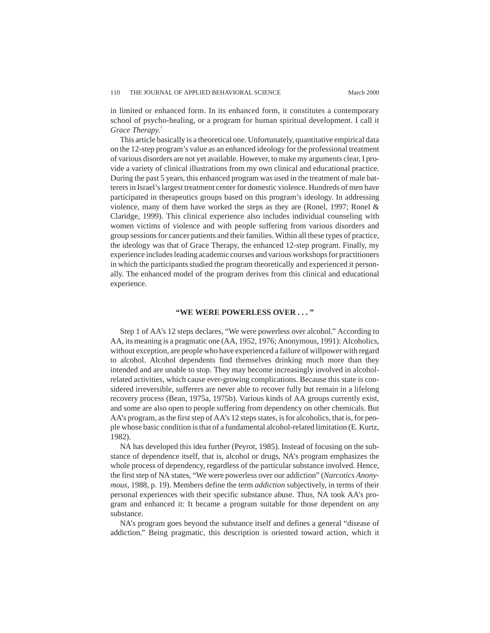in limited or enhanced form. In its enhanced form, it constitutes a contemporary school of psycho-healing, or a program for human spiritual development. I call it Grace Therapy.<sup>1</sup>

This article basically is a theoretical one. Unfortunately, quantitative empirical data on the 12-step program's value as an enhanced ideology for the professional treatment of various disorders are not yet available. However, to make my arguments clear, I provide a variety of clinical illustrations from my own clinical and educational practice. During the past 5 years, this enhanced program was used in the treatment of male batterers in Israel's largest treatment center for domestic violence. Hundreds of men have participated in therapeutics groups based on this program's ideology. In addressing violence, many of them have worked the steps as they are (Ronel, 1997; Ronel  $\&$ Claridge, 1999). This clinical experience also includes individual counseling with women victims of violence and with people suffering from various disorders and group sessions for cancer patients and their families. Within all these types of practice, the ideology was that of Grace Therapy, the enhanced 12-step program. Finally, my experience includes leading academic courses and various workshops for practitioners in which the participants studied the program theoretically and experienced it personally. The enhanced model of the program derives from this clinical and educational experience.

## **"WE WERE POWERLESS OVER..."**

Step 1 of AA's 12 steps declares, "We were powerless over alcohol." According to AA, its meaning is a pragmatic one (AA, 1952, 1976; Anonymous, 1991): Alcoholics, without exception, are people who have experienced a failure of willpower with regard to alcohol. Alcohol dependents find themselves drinking much more than they intended and are unable to stop. They may become increasingly involved in alcoholrelated activities, which cause ever-growing complications. Because this state is considered irreversible, sufferers are never able to recover fully but remain in a lifelong recovery process (Bean, 1975a, 1975b). Various kinds of AA groups currently exist, and some are also open to people suffering from dependency on other chemicals. But AA's program, as the first step of AA's 12 steps states, is for alcoholics, that is, for people whose basic condition is that of a fundamental alcohol-related limitation (E. Kurtz, 1982).

NA has developed this idea further (Peyrot, 1985). Instead of focusing on the substance of dependence itself, that is, alcohol or drugs, NA's program emphasizes the whole process of dependency, regardless of the particular substance involved. Hence, the first step of NA states, "We were powerless over our addiction" (*Narcotics Anonymous*, 1988, p. 19). Members define the term *addiction* subjectively, in terms of their personal experiences with their specific substance abuse. Thus, NA took AA's program and enhanced it: It became a program suitable for those dependent on any substance.

NA's program goes beyond the substance itself and defines a general "disease of addiction." Being pragmatic, this description is oriented toward action, which it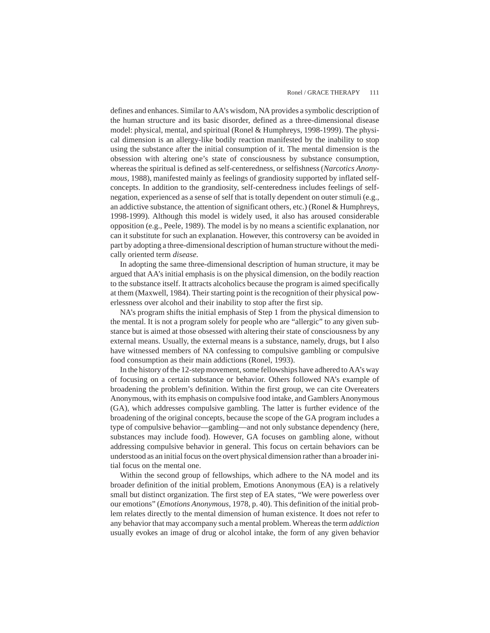defines and enhances. Similar to AA's wisdom, NA provides a symbolic description of the human structure and its basic disorder, defined as a three-dimensional disease model: physical, mental, and spiritual (Ronel & Humphreys, 1998-1999). The physical dimension is an allergy-like bodily reaction manifested by the inability to stop using the substance after the initial consumption of it. The mental dimension is the obsession with altering one's state of consciousness by substance consumption, whereas the spiritual is defined as self-centeredness, or selfishness (*Narcotics Anonymous*, 1988), manifested mainly as feelings of grandiosity supported by inflated selfconcepts. In addition to the grandiosity, self-centeredness includes feelings of selfnegation, experienced as a sense of self that is totally dependent on outer stimuli (e.g., an addictive substance, the attention of significant others, etc.) (Ronel & Humphreys, 1998-1999). Although this model is widely used, it also has aroused considerable opposition (e.g., Peele, 1989). The model is by no means a scientific explanation, nor can it substitute for such an explanation. However, this controversy can be avoided in part by adopting a three-dimensional description of human structure without the medically oriented term *disease*.

In adopting the same three-dimensional description of human structure, it may be argued that AA's initial emphasis is on the physical dimension, on the bodily reaction to the substance itself. It attracts alcoholics because the program is aimed specifically at them (Maxwell, 1984). Their starting point is the recognition of their physical powerlessness over alcohol and their inability to stop after the first sip.

NA's program shifts the initial emphasis of Step 1 from the physical dimension to the mental. It is not a program solely for people who are "allergic" to any given substance but is aimed at those obsessed with altering their state of consciousness by any external means. Usually, the external means is a substance, namely, drugs, but I also have witnessed members of NA confessing to compulsive gambling or compulsive food consumption as their main addictions (Ronel, 1993).

In the history of the 12-step movement, some fellowships have adhered to AA's way of focusing on a certain substance or behavior. Others followed NA's example of broadening the problem's definition. Within the first group, we can cite Overeaters Anonymous, with its emphasis on compulsive food intake, and Gamblers Anonymous (GA), which addresses compulsive gambling. The latter is further evidence of the broadening of the original concepts, because the scope of the GA program includes a type of compulsive behavior—gambling—and not only substance dependency (here, substances may include food). However, GA focuses on gambling alone, without addressing compulsive behavior in general. This focus on certain behaviors can be understood as an initial focus on the overt physical dimension rather than a broader initial focus on the mental one.

Within the second group of fellowships, which adhere to the NA model and its broader definition of the initial problem, Emotions Anonymous (EA) is a relatively small but distinct organization. The first step of EA states, "We were powerless over our emotions" (*Emotions Anonymous*, 1978, p. 40). This definition of the initial problem relates directly to the mental dimension of human existence. It does not refer to any behavior that may accompany such a mental problem. Whereas the term *addiction* usually evokes an image of drug or alcohol intake, the form of any given behavior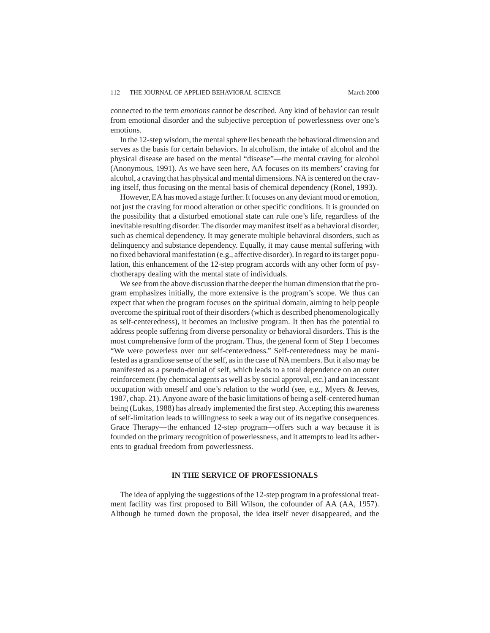connected to the term *emotions* cannot be described. Any kind of behavior can result from emotional disorder and the subjective perception of powerlessness over one's emotions.

In the 12-step wisdom, the mental sphere lies beneath the behavioral dimension and serves as the basis for certain behaviors. In alcoholism, the intake of alcohol and the physical disease are based on the mental "disease"—the mental craving for alcohol (Anonymous, 1991). As we have seen here, AA focuses on its members' craving for alcohol, a craving that has physical and mental dimensions. NA is centered on the craving itself, thus focusing on the mental basis of chemical dependency (Ronel, 1993).

However, EA has moved a stage further. It focuses on any deviant mood or emotion, not just the craving for mood alteration or other specific conditions. It is grounded on the possibility that a disturbed emotional state can rule one's life, regardless of the inevitable resulting disorder. The disorder may manifest itself as a behavioral disorder, such as chemical dependency. It may generate multiple behavioral disorders, such as delinquency and substance dependency. Equally, it may cause mental suffering with no fixed behavioral manifestation (e.g., affective disorder). In regard to its target population, this enhancement of the 12-step program accords with any other form of psychotherapy dealing with the mental state of individuals.

We see from the above discussion that the deeper the human dimension that the program emphasizes initially, the more extensive is the program's scope. We thus can expect that when the program focuses on the spiritual domain, aiming to help people overcome the spiritual root of their disorders (which is described phenomenologically as self-centeredness), it becomes an inclusive program. It then has the potential to address people suffering from diverse personality or behavioral disorders. This is the most comprehensive form of the program. Thus, the general form of Step 1 becomes "We were powerless over our self-centeredness." Self-centeredness may be manifested as a grandiose sense of the self, as in the case of NA members. But it also may be manifested as a pseudo-denial of self, which leads to a total dependence on an outer reinforcement (by chemical agents as well as by social approval, etc.) and an incessant occupation with oneself and one's relation to the world (see, e.g., Myers & Jeeves, 1987, chap. 21). Anyone aware of the basic limitations of being a self-centered human being (Lukas, 1988) has already implemented the first step. Accepting this awareness of self-limitation leads to willingness to seek a way out of its negative consequences. Grace Therapy—the enhanced 12-step program—offers such a way because it is founded on the primary recognition of powerlessness, and it attempts to lead its adherents to gradual freedom from powerlessness.

# **IN THE SERVICE OF PROFESSIONALS**

The idea of applying the suggestions of the 12-step program in a professional treatment facility was first proposed to Bill Wilson, the cofounder of AA (AA, 1957). Although he turned down the proposal, the idea itself never disappeared, and the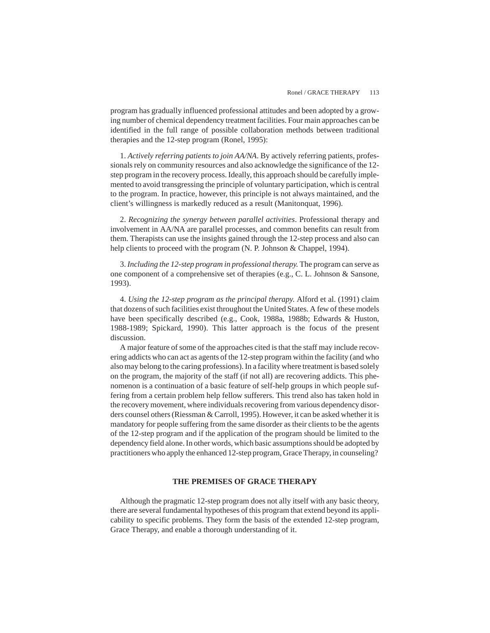program has gradually influenced professional attitudes and been adopted by a growing number of chemical dependency treatment facilities. Four main approaches can be identified in the full range of possible collaboration methods between traditional therapies and the 12-step program (Ronel, 1995):

1. *Actively referring patients to join AA/NA*. By actively referring patients, professionals rely on community resources and also acknowledge the significance of the 12 step program in the recovery process. Ideally, this approach should be carefully implemented to avoid transgressing the principle of voluntary participation, which is central to the program. In practice, however, this principle is not always maintained, and the client's willingness is markedly reduced as a result (Manitonquat, 1996).

2. *Recognizing the synergy between parallel activities*. Professional therapy and involvement in AA/NA are parallel processes, and common benefits can result from them. Therapists can use the insights gained through the 12-step process and also can help clients to proceed with the program (N. P. Johnson & Chappel, 1994).

3. *Including the 12-step program in professional therapy.* The program can serve as one component of a comprehensive set of therapies (e.g., C. L. Johnson & Sansone, 1993).

4. *Using the 12-step program as the principal therapy*. Alford et al. (1991) claim that dozens of such facilities exist throughout the United States. A few of these models have been specifically described (e.g., Cook, 1988a, 1988b; Edwards & Huston, 1988-1989; Spickard, 1990). This latter approach is the focus of the present discussion.

A major feature of some of the approaches cited is that the staff may include recovering addicts who can act as agents of the 12-step program within the facility (and who also may belong to the caring professions). In a facility where treatment is based solely on the program, the majority of the staff (if not all) are recovering addicts. This phenomenon is a continuation of a basic feature of self-help groups in which people suffering from a certain problem help fellow sufferers. This trend also has taken hold in the recovery movement, where individuals recovering from various dependency disorders counsel others (Riessman & Carroll, 1995). However, it can be asked whether it is mandatory for people suffering from the same disorder as their clients to be the agents of the 12-step program and if the application of the program should be limited to the dependency field alone. In other words, which basic assumptions should be adopted by practitioners who apply the enhanced 12-step program, Grace Therapy, in counseling?

## **THE PREMISES OF GRACE THERAPY**

Although the pragmatic 12-step program does not ally itself with any basic theory, there are several fundamental hypotheses of this program that extend beyond its applicability to specific problems. They form the basis of the extended 12-step program, Grace Therapy, and enable a thorough understanding of it.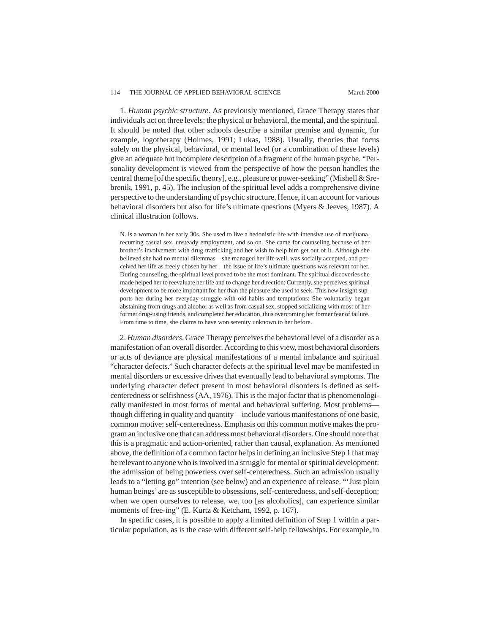## 114 THE JOURNAL OF APPLIED BEHAVIORAL SCIENCE March 2000

1. *Human psychic structure*. As previously mentioned, Grace Therapy states that individuals act on three levels: the physical or behavioral, the mental, and the spiritual. It should be noted that other schools describe a similar premise and dynamic, for example, logotherapy (Holmes, 1991; Lukas, 1988). Usually, theories that focus solely on the physical, behavioral, or mental level (or a combination of these levels) give an adequate but incomplete description of a fragment of the human psyche. "Personality development is viewed from the perspective of how the person handles the central theme [of the specific theory], e.g., pleasure or power-seeking" (Mishell & Srebrenik, 1991, p. 45). The inclusion of the spiritual level adds a comprehensive divine perspective to the understanding of psychic structure. Hence, it can account for various behavioral disorders but also for life's ultimate questions (Myers & Jeeves, 1987). A clinical illustration follows.

N. is a woman in her early 30s. She used to live a hedonistic life with intensive use of marijuana, recurring casual sex, unsteady employment, and so on. She came for counseling because of her brother's involvement with drug trafficking and her wish to help him get out of it. Although she believed she had no mental dilemmas—she managed her life well, was socially accepted, and perceived her life as freely chosen by her—the issue of life's ultimate questions was relevant for her. During counseling, the spiritual level proved to be the most dominant. The spiritual discoveries she made helped her to reevaluate her life and to change her direction: Currently, she perceives spiritual development to be more important for her than the pleasure she used to seek. This new insight supports her during her everyday struggle with old habits and temptations: She voluntarily began abstaining from drugs and alcohol as well as from casual sex, stopped socializing with most of her former drug-using friends, and completed her education, thus overcoming her former fear of failure. From time to time, she claims to have won serenity unknown to her before.

2. *Human disorders*. Grace Therapy perceives the behavioral level of a disorder as a manifestation of an overall disorder. According to this view, most behavioral disorders or acts of deviance are physical manifestations of a mental imbalance and spiritual "character defects." Such character defects at the spiritual level may be manifested in mental disorders or excessive drives that eventually lead to behavioral symptoms. The underlying character defect present in most behavioral disorders is defined as selfcenteredness or selfishness (AA, 1976). This is the major factor that is phenomenologically manifested in most forms of mental and behavioral suffering. Most problems though differing in quality and quantity—include various manifestations of one basic, common motive: self-centeredness. Emphasis on this common motive makes the program an inclusive one that can address most behavioral disorders. One should note that this is a pragmatic and action-oriented, rather than causal, explanation. As mentioned above, the definition of a common factor helps in defining an inclusive Step 1 that may be relevant to anyone who is involved in a struggle for mental or spiritual development: the admission of being powerless over self-centeredness. Such an admission usually leads to a "letting go" intention (see below) and an experience of release. "'Just plain human beings'are as susceptible to obsessions, self-centeredness, and self-deception; when we open ourselves to release, we, too [as alcoholics], can experience similar moments of free-ing" (E. Kurtz & Ketcham, 1992, p. 167).

In specific cases, it is possible to apply a limited definition of Step 1 within a particular population, as is the case with different self-help fellowships. For example, in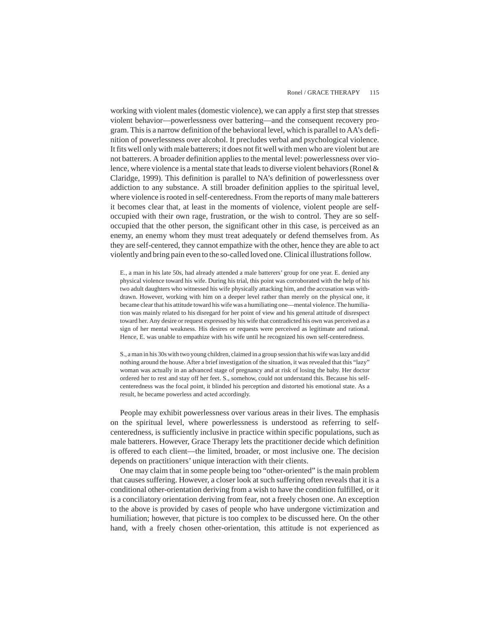working with violent males (domestic violence), we can apply a first step that stresses violent behavior—powerlessness over battering—and the consequent recovery program. This is a narrow definition of the behavioral level, which is parallel to AA's definition of powerlessness over alcohol. It precludes verbal and psychological violence. It fits well only with male batterers; it does not fit well with men who are violent but are not batterers. A broader definition applies to the mental level: powerlessness over violence, where violence is a mental state that leads to diverse violent behaviors (Ronel  $\&$ Claridge, 1999). This definition is parallel to NA's definition of powerlessness over addiction to any substance. A still broader definition applies to the spiritual level, where violence is rooted in self-centeredness. From the reports of many male batterers it becomes clear that, at least in the moments of violence, violent people are selfoccupied with their own rage, frustration, or the wish to control. They are so selfoccupied that the other person, the significant other in this case, is perceived as an enemy, an enemy whom they must treat adequately or defend themselves from. As they are self-centered, they cannot empathize with the other, hence they are able to act violently and bring pain even to the so-called loved one. Clinical illustrations follow.

E., a man in his late 50s, had already attended a male batterers' group for one year. E. denied any physical violence toward his wife. During his trial, this point was corroborated with the help of his two adult daughters who witnessed his wife physically attacking him, and the accusation was withdrawn. However, working with him on a deeper level rather than merely on the physical one, it became clear that his attitude toward his wife was a humiliating one—mental violence. The humiliation was mainly related to his disregard for her point of view and his general attitude of disrespect toward her. Any desire or request expressed by his wife that contradicted his own was perceived as a sign of her mental weakness. His desires or requests were perceived as legitimate and rational. Hence, E. was unable to empathize with his wife until he recognized his own self-centeredness.

S., a man in his 30s with two young children, claimed in a group session that his wife was lazy and did nothing around the house. After a brief investigation of the situation, it was revealed that this "lazy" woman was actually in an advanced stage of pregnancy and at risk of losing the baby. Her doctor ordered her to rest and stay off her feet. S., somehow, could not understand this. Because his selfcenteredness was the focal point, it blinded his perception and distorted his emotional state. As a result, he became powerless and acted accordingly.

People may exhibit powerlessness over various areas in their lives. The emphasis on the spiritual level, where powerlessness is understood as referring to selfcenteredness, is sufficiently inclusive in practice within specific populations, such as male batterers. However, Grace Therapy lets the practitioner decide which definition is offered to each client—the limited, broader, or most inclusive one. The decision depends on practitioners' unique interaction with their clients.

One may claim that in some people being too "other-oriented" is the main problem that causes suffering. However, a closer look at such suffering often reveals that it is a conditional other-orientation deriving from a wish to have the condition fulfilled, or it is a conciliatory orientation deriving from fear, not a freely chosen one. An exception to the above is provided by cases of people who have undergone victimization and humiliation; however, that picture is too complex to be discussed here. On the other hand, with a freely chosen other-orientation, this attitude is not experienced as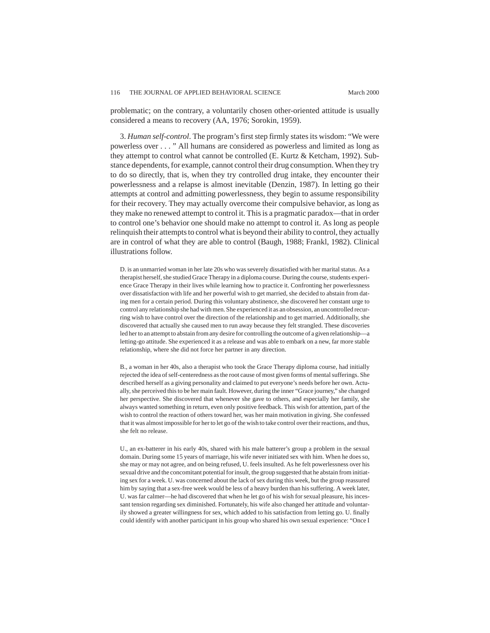problematic; on the contrary, a voluntarily chosen other-oriented attitude is usually considered a means to recovery (AA, 1976; Sorokin, 1959).

3. *Human self-control*. The program's first step firmly states its wisdom: "We were powerless over . . . " All humans are considered as powerless and limited as long as they attempt to control what cannot be controlled (E. Kurtz & Ketcham, 1992). Substance dependents, for example, cannot control their drug consumption. When they try to do so directly, that is, when they try controlled drug intake, they encounter their powerlessness and a relapse is almost inevitable (Denzin, 1987). In letting go their attempts at control and admitting powerlessness, they begin to assume responsibility for their recovery. They may actually overcome their compulsive behavior, as long as they make no renewed attempt to control it. This is a pragmatic paradox—that in order to control one's behavior one should make no attempt to control it. As long as people relinquish their attempts to control what is beyond their ability to control, they actually are in control of what they are able to control (Baugh, 1988; Frankl, 1982). Clinical illustrations follow.

D. is an unmarried woman in her late 20s who was severely dissatisfied with her marital status. As a therapist herself, she studied Grace Therapy in a diploma course. During the course, students experience Grace Therapy in their lives while learning how to practice it. Confronting her powerlessness over dissatisfaction with life and her powerful wish to get married, she decided to abstain from dating men for a certain period. During this voluntary abstinence, she discovered her constant urge to control any relationship she had with men. She experienced it as an obsession, an uncontrolled recurring wish to have control over the direction of the relationship and to get married. Additionally, she discovered that actually she caused men to run away because they felt strangled. These discoveries led her to an attempt to abstain from any desire for controlling the outcome of a given relationship—a letting-go attitude. She experienced it as a release and was able to embark on a new, far more stable relationship, where she did not force her partner in any direction.

B., a woman in her 40s, also a therapist who took the Grace Therapy diploma course, had initially rejected the idea of self-centeredness as the root cause of most given forms of mental sufferings. She described herself as a giving personality and claimed to put everyone's needs before her own. Actually, she perceived this to be her main fault. However, during the inner "Grace journey," she changed her perspective. She discovered that whenever she gave to others, and especially her family, she always wanted something in return, even only positive feedback. This wish for attention, part of the wish to control the reaction of others toward her, was her main motivation in giving. She confessed that it was almost impossible for her to let go of the wish to take control over their reactions, and thus, she felt no release.

U., an ex-batterer in his early 40s, shared with his male batterer's group a problem in the sexual domain. During some 15 years of marriage, his wife never initiated sex with him. When he does so, she may or may not agree, and on being refused, U. feels insulted. As he felt powerlessness over his sexual drive and the concomitant potential for insult, the group suggested that he abstain from initiating sex for a week. U. was concerned about the lack of sex during this week, but the group reassured him by saying that a sex-free week would be less of a heavy burden than his suffering. A week later, U. was far calmer—he had discovered that when he let go of his wish for sexual pleasure, his incessant tension regarding sex diminished. Fortunately, his wife also changed her attitude and voluntarily showed a greater willingness for sex, which added to his satisfaction from letting go. U. finally could identify with another participant in his group who shared his own sexual experience: "Once I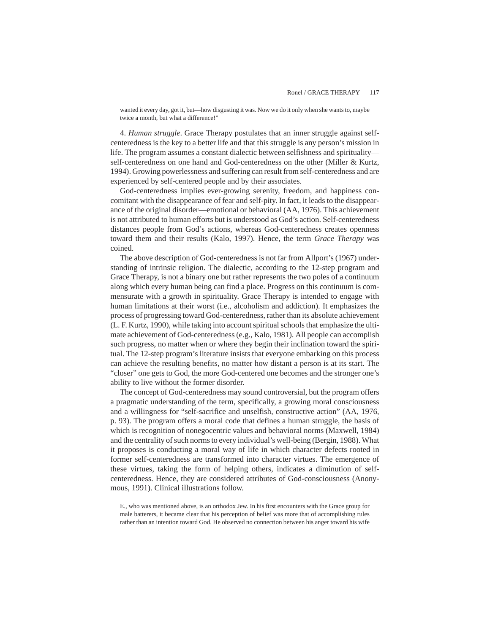wanted it every day, got it, but—how disgusting it was. Now we do it only when she wants to, maybe twice a month, but what a difference!"

4. *Human struggle*. Grace Therapy postulates that an inner struggle against selfcenteredness is the key to a better life and that this struggle is any person's mission in life. The program assumes a constant dialectic between selfishness and spirituality self-centeredness on one hand and God-centeredness on the other (Miller & Kurtz, 1994). Growing powerlessness and suffering can result from self-centeredness and are experienced by self-centered people and by their associates.

God-centeredness implies ever-growing serenity, freedom, and happiness concomitant with the disappearance of fear and self-pity. In fact, it leads to the disappearance of the original disorder—emotional or behavioral (AA, 1976). This achievement is not attributed to human efforts but is understood as God's action. Self-centeredness distances people from God's actions, whereas God-centeredness creates openness toward them and their results (Kalo, 1997). Hence, the term *Grace Therapy* was coined.

The above description of God-centeredness is not far from Allport's (1967) understanding of intrinsic religion. The dialectic, according to the 12-step program and Grace Therapy, is not a binary one but rather represents the two poles of a continuum along which every human being can find a place. Progress on this continuum is commensurate with a growth in spirituality. Grace Therapy is intended to engage with human limitations at their worst (i.e., alcoholism and addiction). It emphasizes the process of progressing toward God-centeredness, rather than its absolute achievement (L. F. Kurtz, 1990), while taking into account spiritual schools that emphasize the ultimate achievement of God-centeredness (e.g., Kalo, 1981). All people can accomplish such progress, no matter when or where they begin their inclination toward the spiritual. The 12-step program's literature insists that everyone embarking on this process can achieve the resulting benefits, no matter how distant a person is at its start. The "closer" one gets to God, the more God-centered one becomes and the stronger one's ability to live without the former disorder.

The concept of God-centeredness may sound controversial, but the program offers a pragmatic understanding of the term, specifically, a growing moral consciousness and a willingness for "self-sacrifice and unselfish, constructive action" (AA, 1976, p. 93). The program offers a moral code that defines a human struggle, the basis of which is recognition of nonegocentric values and behavioral norms (Maxwell, 1984) and the centrality of such norms to every individual's well-being (Bergin, 1988). What it proposes is conducting a moral way of life in which character defects rooted in former self-centeredness are transformed into character virtues. The emergence of these virtues, taking the form of helping others, indicates a diminution of selfcenteredness. Hence, they are considered attributes of God-consciousness (Anonymous, 1991). Clinical illustrations follow.

E., who was mentioned above, is an orthodox Jew. In his first encounters with the Grace group for male batterers, it became clear that his perception of belief was more that of accomplishing rules rather than an intention toward God. He observed no connection between his anger toward his wife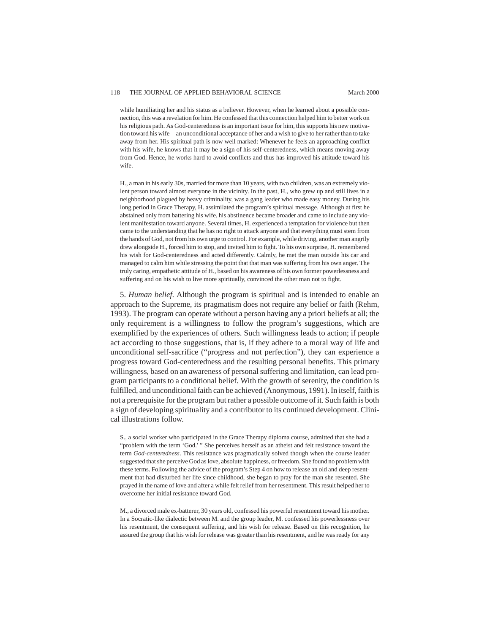#### 118 THE JOURNAL OF APPLIED BEHAVIORAL SCIENCE March 2000

while humiliating her and his status as a believer. However, when he learned about a possible connection, this was a revelation for him. He confessed that this connection helped him to better work on his religious path. As God-centeredness is an important issue for him, this supports his new motivation toward his wife—an unconditional acceptance of her and a wish to give to her rather than to take away from her. His spiritual path is now well marked: Whenever he feels an approaching conflict with his wife, he knows that it may be a sign of his self-centeredness, which means moving away from God. Hence, he works hard to avoid conflicts and thus has improved his attitude toward his wife.

H., a man in his early 30s, married for more than 10 years, with two children, was an extremely violent person toward almost everyone in the vicinity. In the past, H., who grew up and still lives in a neighborhood plagued by heavy criminality, was a gang leader who made easy money. During his long period in Grace Therapy, H. assimilated the program's spiritual message. Although at first he abstained only from battering his wife, his abstinence became broader and came to include any violent manifestation toward anyone. Several times, H. experienced a temptation for violence but then came to the understanding that he has no right to attack anyone and that everything must stem from the hands of God, not from his own urge to control. For example, while driving, another man angrily drew alongside H., forced him to stop, and invited him to fight. To his own surprise, H. remembered his wish for God-centeredness and acted differently. Calmly, he met the man outside his car and managed to calm him while stressing the point that that man was suffering from his own anger. The truly caring, empathetic attitude of H., based on his awareness of his own former powerlessness and suffering and on his wish to live more spiritually, convinced the other man not to fight.

5. *Human belief*. Although the program is spiritual and is intended to enable an approach to the Supreme, its pragmatism does not require any belief or faith (Rehm, 1993). The program can operate without a person having any a priori beliefs at all; the only requirement is a willingness to follow the program's suggestions, which are exemplified by the experiences of others. Such willingness leads to action; if people act according to those suggestions, that is, if they adhere to a moral way of life and unconditional self-sacrifice ("progress and not perfection"), they can experience a progress toward God-centeredness and the resulting personal benefits. This primary willingness, based on an awareness of personal suffering and limitation, can lead program participants to a conditional belief. With the growth of serenity, the condition is fulfilled, and unconditional faith can be achieved (Anonymous, 1991). In itself, faith is not a prerequisite for the program but rather a possible outcome of it. Such faith is both a sign of developing spirituality and a contributor to its continued development. Clinical illustrations follow.

S., a social worker who participated in the Grace Therapy diploma course, admitted that she had a "problem with the term 'God.' " She perceives herself as an atheist and felt resistance toward the term *God-centeredness*. This resistance was pragmatically solved though when the course leader suggested that she perceive God as love, absolute happiness, or freedom. She found no problem with these terms. Following the advice of the program's Step 4 on how to release an old and deep resentment that had disturbed her life since childhood, she began to pray for the man she resented. She prayed in the name of love and after a while felt relief from her resentment. This result helped her to overcome her initial resistance toward God.

M., a divorced male ex-batterer, 30 years old, confessed his powerful resentment toward his mother. In a Socratic-like dialectic between M. and the group leader, M. confessed his powerlessness over his resentment, the consequent suffering, and his wish for release. Based on this recognition, he assured the group that his wish for release was greater than his resentment, and he was ready for any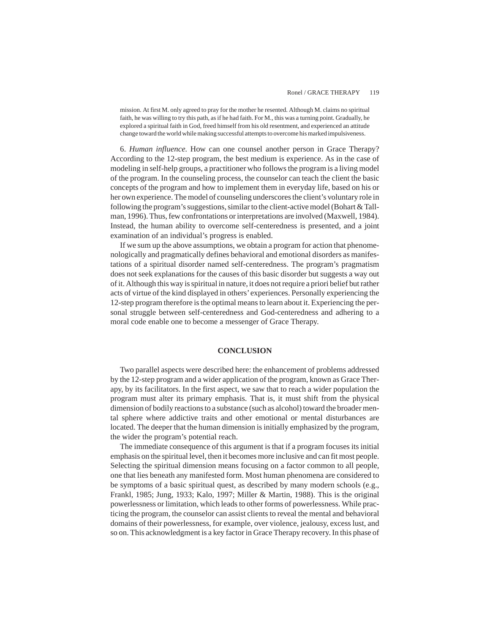#### Ronel / GRACE THERAPY 119

mission. At first M. only agreed to pray for the mother he resented. Although M. claims no spiritual faith, he was willing to try this path, as if he had faith. For M., this was a turning point. Gradually, he explored a spiritual faith in God, freed himself from his old resentment, and experienced an attitude change toward the world while making successful attempts to overcome his marked impulsiveness.

6. *Human influence*. How can one counsel another person in Grace Therapy? According to the 12-step program, the best medium is experience. As in the case of modeling in self-help groups, a practitioner who follows the program is a living model of the program. In the counseling process, the counselor can teach the client the basic concepts of the program and how to implement them in everyday life, based on his or her own experience. The model of counseling underscores the client's voluntary role in following the program's suggestions, similar to the client-active model (Bohart & Tallman, 1996). Thus, few confrontations or interpretations are involved (Maxwell, 1984). Instead, the human ability to overcome self-centeredness is presented, and a joint examination of an individual's progress is enabled.

If we sum up the above assumptions, we obtain a program for action that phenomenologically and pragmatically defines behavioral and emotional disorders as manifestations of a spiritual disorder named self-centeredness. The program's pragmatism does not seek explanations for the causes of this basic disorder but suggests a way out of it. Although this way is spiritual in nature, it does not require a priori belief but rather acts of virtue of the kind displayed in others'experiences. Personally experiencing the 12-step program therefore is the optimal means to learn about it. Experiencing the personal struggle between self-centeredness and God-centeredness and adhering to a moral code enable one to become a messenger of Grace Therapy.

## **CONCLUSION**

Two parallel aspects were described here: the enhancement of problems addressed by the 12-step program and a wider application of the program, known as Grace Therapy, by its facilitators. In the first aspect, we saw that to reach a wider population the program must alter its primary emphasis. That is, it must shift from the physical dimension of bodily reactions to a substance (such as alcohol) toward the broader mental sphere where addictive traits and other emotional or mental disturbances are located. The deeper that the human dimension is initially emphasized by the program, the wider the program's potential reach.

The immediate consequence of this argument is that if a program focuses its initial emphasis on the spiritual level, then it becomes more inclusive and can fit most people. Selecting the spiritual dimension means focusing on a factor common to all people, one that lies beneath any manifested form. Most human phenomena are considered to be symptoms of a basic spiritual quest, as described by many modern schools (e.g., Frankl, 1985; Jung, 1933; Kalo, 1997; Miller & Martin, 1988). This is the original powerlessness or limitation, which leads to other forms of powerlessness. While practicing the program, the counselor can assist clients to reveal the mental and behavioral domains of their powerlessness, for example, over violence, jealousy, excess lust, and so on. This acknowledgment is a key factor in Grace Therapy recovery. In this phase of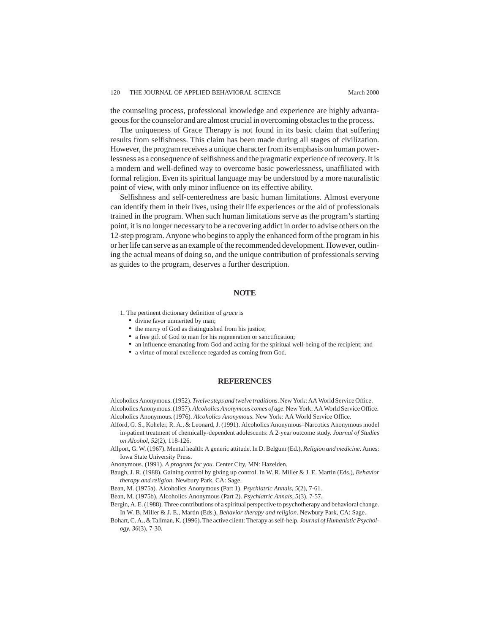the counseling process, professional knowledge and experience are highly advantageous for the counselor and are almost crucial in overcoming obstacles to the process.

The uniqueness of Grace Therapy is not found in its basic claim that suffering results from selfishness. This claim has been made during all stages of civilization. However, the program receives a unique character from its emphasis on human powerlessness as a consequence of selfishness and the pragmatic experience of recovery. It is a modern and well-defined way to overcome basic powerlessness, unaffiliated with formal religion. Even its spiritual language may be understood by a more naturalistic point of view, with only minor influence on its effective ability.

Selfishness and self-centeredness are basic human limitations. Almost everyone can identify them in their lives, using their life experiences or the aid of professionals trained in the program. When such human limitations serve as the program's starting point, it is no longer necessary to be a recovering addict in order to advise others on the 12-step program. Anyone who begins to apply the enhanced form of the program in his or her life can serve as an example of the recommended development. However, outlining the actual means of doing so, and the unique contribution of professionals serving as guides to the program, deserves a further description.

## **NOTE**

- 1. The pertinent dictionary definition of *grace* is
	- divine favor unmerited by man;
	- the mercy of God as distinguished from his justice;
	- a free gift of God to man for his regeneration or sanctification;
	- an influence emanating from God and acting for the spiritual well-being of the recipient; and
	- a virtue of moral excellence regarded as coming from God.

## **REFERENCES**

Alcoholics Anonymous. (1952). *Twelve steps and twelve traditions*. New York: AA World Service Office. Alcoholics Anonymous. (1957).*Alcoholics Anonymous comes of age*. New York: AA World Service Office. Alcoholics Anonymous. (1976). *Alcoholics Anonymous*. New York: AA World Service Office.

- Alford, G. S., Koheler, R. A., & Leonard, J. (1991). Alcoholics Anonymous–Narcotics Anonymous model
- in-patient treatment of chemically-dependent adolescents: A 2-year outcome study. *Journal of Studies on Alcohol*, *52*(2), 118-126.
- Allport, G. W. (1967). Mental health: A generic attitude. In D. Belgum (Ed.), *Religion and medicine*. Ames: Iowa State University Press.
- Anonymous. (1991). *A program for you*. Center City, MN: Hazelden.
- Baugh, J. R. (1988). Gaining control by giving up control. In W. R. Miller & J. E. Martin (Eds.), *Behavior therapy and religion*. Newbury Park, CA: Sage.
- Bean, M. (1975a). Alcoholics Anonymous (Part 1). *Psychiatric Annals*, *5*(2), 7-61.
- Bean, M. (1975b). Alcoholics Anonymous (Part 2). *Psychiatric Annals*, *5*(3), 7-57.
- Bergin, A. E. (1988). Three contributions of a spiritual perspective to psychotherapy and behavioral change. In W. B. Miller & J. E., Martin (Eds.), *Behavior therapy and religion*. Newbury Park, CA: Sage.
- Bohart, C. A., & Tallman, K. (1996). The active client: Therapy as self-help. *Journal of Humanistic Psychology*, *36*(3), 7-30.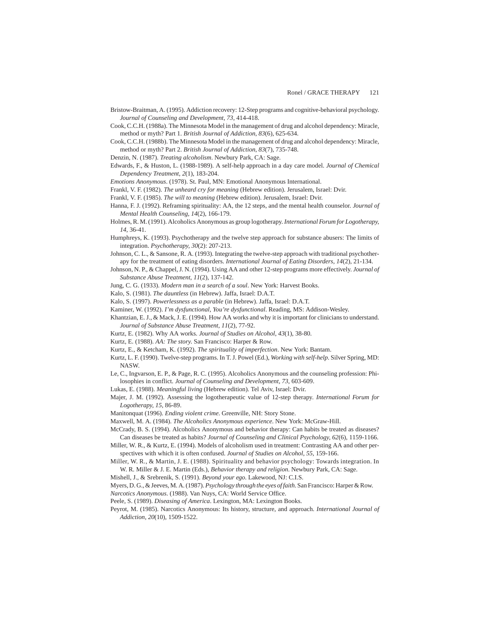- Bristow-Braitman, A. (1995). Addiction recovery: 12-Step programs and cognitive-behavioral psychology. *Journal of Counseling and Development*, *73*, 414-418.
- Cook, C.C.H. (1988a). The Minnesota Model in the management of drug and alcohol dependency: Miracle, method or myth? Part 1. *British Journal of Addiction*, *83*(6), 625-634.
- Cook, C.C.H. (1988b). The Minnesota Model in the management of drug and alcohol dependency: Miracle, method or myth? Part 2. *British Journal of Addiction*, *83*(7), 735-748.
- Denzin, N. (1987). *Treating alcoholism*. Newbury Park, CA: Sage.
- Edwards, F., & Huston, L. (1988-1989). A self-help approach in a day care model. *Journal of Chemical Dependency Treatment*, *2*(1), 183-204.
- *Emotions Anonymous*. (1978). St. Paul, MN: Emotional Anonymous International.
- Frankl, V. F. (1982). *The unheard cry for meaning* (Hebrew edition). Jerusalem, Israel: Dvir.
- Frankl, V. F. (1985). *The will to meaning* (Hebrew edition). Jerusalem, Israel: Dvir.
- Hanna, F. J. (1992). Reframing spirituality: AA, the 12 steps, and the mental health counselor. *Journal of Mental Health Counseling*, *14*(2), 166-179.
- Holmes, R. M. (1991). Alcoholics Anonymous as group logotherapy. *International Forum for Logotherapy*, *14*, 36-41.
- Humphreys, K. (1993). Psychotherapy and the twelve step approach for substance abusers: The limits of integration. *Psychotherapy*, *30*(2): 207-213.
- Johnson, C. L., & Sansone, R. A. (1993). Integrating the twelve-step approach with traditional psychotherapy for the treatment of eating disorders. *International Journal of Eating Disorders*, *14*(2), 21-134.
- Johnson, N. P., & Chappel, J. N. (1994). Using AA and other 12-step programs more effectively. *Journal of Substance Abuse Treatment*, *11*(2), 137-142.
- Jung, C. G. (1933). *Modern man in a search of a soul*. New York: Harvest Books.
- Kalo, S. (1981). *The dauntless* (in Hebrew). Jaffa, Israel: D.A.T.
- Kalo, S. (1997). *Powerlessness as a parable* (in Hebrew). Jaffa, Israel: D.A.T.
- Kaminer, W. (1992). *I'm dysfunctional, You're dysfunctional*. Reading, MS: Addison-Wesley.
- Khantzian, E. J., & Mack, J. E. (1994). How AA works and why it is important for clinicians to understand. *Journal of Substance Abuse Treatment*, *11*(2), 77-92.
- Kurtz, E. (1982). Why AA works. *Journal of Studies on Alcohol*, *43*(1), 38-80.
- Kurtz, E. (1988). *AA: The story*. San Francisco: Harper & Row.
- Kurtz, E., & Ketcham, K. (1992). *The spirituality of imperfection*. New York: Bantam.
- Kurtz, L. F. (1990). Twelve-step programs. In T. J. Powel (Ed.), *Working with self-help*. Silver Spring, MD: NASW.
- Le, C., Ingvarson, E. P., & Page, R. C. (1995). Alcoholics Anonymous and the counseling profession: Philosophies in conflict. *Journal of Counseling and Development*, *73*, 603-609.
- Lukas, E. (1988). *Meaningful living* (Hebrew edition). Tel Aviv, Israel: Dvir.
- Majer, J. M. (1992). Assessing the logotherapeutic value of 12-step therapy. *International Forum for Logotherapy*, *15*, 86-89.
- Manitonquat (1996). *Ending violent crime*. Greenville, NH: Story Stone.
- Maxwell, M. A. (1984). *The Alcoholics Anonymous experience*. New York: McGraw-Hill.
- McCrady, B. S. (1994). Alcoholics Anonymous and behavior therapy: Can habits be treated as diseases?
- Can diseases be treated as habits? *Journal of Counseling and Clinical Psychology*, *62*(6), 1159-1166. Miller, W. R., & Kurtz, E. (1994). Models of alcoholism used in treatment: Contrasting AA and other per-
- spectives with which it is often confused. *Journal of Studies on Alcohol*, *55*, 159-166. Miller, W. R., & Martin, J. E. (1988). Spirituality and behavior psychology: Towards integration. In
- W. R. Miller & J. E. Martin (Eds.), *Behavior therapy and religion*. Newbury Park, CA: Sage.
- Mishell, J., & Srebrenik, S. (1991). *Beyond your ego*. Lakewood, NJ: C.I.S.
- Myers, D. G., & Jeeves, M. A. (1987).*Psychology through the eyes of faith*. San Francisco: Harper & Row.
- *Narcotics Anonymous*. (1988). Van Nuys, CA: World Service Office.
- Peele, S. (1989). *Diseasing of America*. Lexington, MA: Lexington Books.
- Peyrot, M. (1985). Narcotics Anonymous: Its history, structure, and approach. *International Journal of Addiction*, *20*(10), 1509-1522.